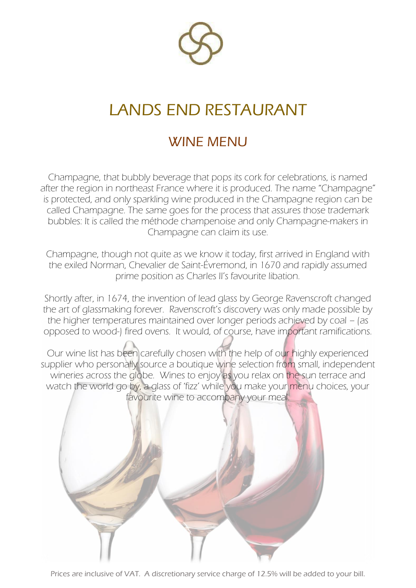

## LANDS END RESTAURANT

## WINE MENU

Champagne, that bubbly beverage that pops its cork for celebrations, is named after the region in northeast France where it is produced. The name "Champagne" is protected, and only sparkling wine produced in the Champagne region can be called Champagne. The same goes for the process that assures those trademark bubbles: It is called the méthode champenoise and only Champagne-makers in Champagne can claim its use.

Champagne, though not quite as we know it today, first arrived in England with the exiled Norman, Chevalier de Saint-Évremond, in 1670 and rapidly assumed prime position as Charles II's favourite libation.

Shortly after, in 1674, the invention of lead glass by George Ravenscroft changed the art of glassmaking forever. Ravenscroft's discovery was only made possible by the higher temperatures maintained over longer periods achieved by coal – (as opposed to wood-) fired ovens. It would, of course, have important ramifications.

Our wine list has been carefully chosen with the help of our highly experienced supplier who personally source a boutique wine selection from small, independent wineries across the globe. Wines to enjoy as you relax on the sun terrace and watch the world go by, a glass of 'fizz' while you make your menu choices, your favourite wine to accompany your meal.



Prices are inclusive of VAT. A discretionary service charge of 12.5% will be added to your bill.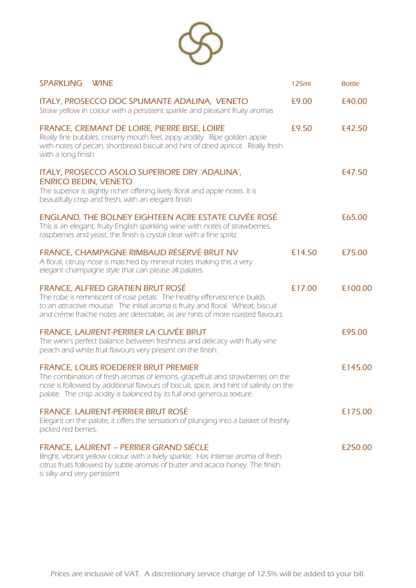

| <b>SPARKLING</b>              | <b>WINE</b>                                                                                                                                                                                                                                                                               | 125ml  | <b>Bottle</b> |
|-------------------------------|-------------------------------------------------------------------------------------------------------------------------------------------------------------------------------------------------------------------------------------------------------------------------------------------|--------|---------------|
|                               | ITALY, PROSECCO DOC SPUMANTE ADALINA, VENETO<br>Straw yellow in colour with a persistent sparkle and pleasant fruity aromas                                                                                                                                                               | £9.00  | £40.00        |
| with a long finish            | FRANCE, CREMANT DE LOIRE, PIERRE BISE, LOIRE<br>Really fine bubbles, creamy mouth feel, zippy acidity. Ripe golden apple<br>with notes of pecan, shortbread biscuit and hint of dried apricot. Really fresh                                                                               | £9.50  | £42.50        |
| <b>ENRICO BEDIN, VENETO</b>   | ITALY, PROSECCO ASOLO SUPERIORE DRY 'ADALINA',<br>The superior is slightly richer offering lively floral and apple notes. It is<br>beautifully crisp and fresh, with an elegant finish                                                                                                    |        | £47.50        |
|                               | ENGLAND, THE BOLNEY EIGHTEEN ACRE ESTATE CUVÉE ROSÉ<br>This is an elegant, fruity English sparkling wine with notes of strawberries,<br>raspberries and yeast, the finish is crystal clear with a fine spritz.                                                                            |        | £65.00        |
|                               | FRANCE, CHAMPAGNE RIMBAUD RÉSERVÉ BRUT NV<br>A floral, citrusy nose is matched by mineral notes making this a very<br>elegant champagne style that can please all palates.                                                                                                                | £14.50 | £75.00        |
|                               | FRANCE, ALFRED GRATIEN BRUT ROSÉ<br>The robe is reminiscent of rose petals. The healthy effervescence builds<br>to an attractive mousse. The initial aroma is fruity and floral. Wheat, biscuit<br>and crème fraiche notes are detectable, as are hints of more roasted flavours.         | £17.00 | £100.00       |
|                               | FRANCE, LAURENT-PERRIER LA CUVÉE BRUT<br>The wine's perfect balance between freshness and delicacy with fruity vine<br>peach and white fruit flavours very present on the finish.                                                                                                         |        | £95.00        |
|                               | FRANCE, LOUIS ROEDERER BRUT PREMIER<br>The combination of fresh aromas of lemons, grapefruit and strawberries on the<br>nose is followed by additional flavours of biscuit, spice, and hint of salinity on the<br>palate. The crisp acidity is balanced by its full and generous texture. |        | £145.00       |
| picked red berries.           | FRANCE. LAURENT-PERRIER BRUT ROSÉ<br>Elegant on the palate, it offers the sensation of plunging into a basket of freshly                                                                                                                                                                  |        | £175.00       |
| is silky and very persistent. | FRANCE, LAURENT - PERRIER GRAND SIÉCLE<br>Bright, vibrant yellow colour with a lively sparkle. Has intense aroma of fresh<br>citrus fruits followed by subtle aromas of butter and acacia honey. The finish                                                                               |        | £250.00       |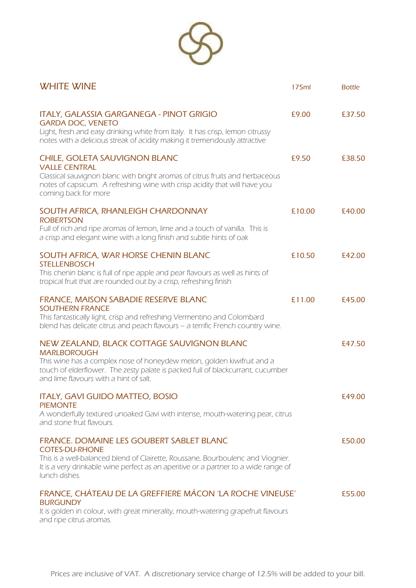

| <b>WHITE WINE</b>                                                                                                                                                                                                                                                       | 175ml  | <b>Bottle</b> |
|-------------------------------------------------------------------------------------------------------------------------------------------------------------------------------------------------------------------------------------------------------------------------|--------|---------------|
| ITALY, GALASSIA GARGANEGA - PINOT GRIGIO<br><b>GARDA DOC, VENETO</b><br>Light, fresh and easy drinking white from Italy. It has crisp, lemon citrussy<br>notes with a delicious streak of acidity making it tremendously attractive                                     | £9.00  | £37.50        |
| CHILE, GOLETA SAUVIGNON BLANC<br><b>VALLE CENTRAL</b><br>Classical sauvignon blanc with bright aromas of citrus fruits and herbaceous<br>notes of capsicum. A refreshing wine with crisp acidity that will have you<br>coming back for more                             | £9.50  | £38.50        |
| SOUTH AFRICA, RHANLEIGH CHARDONNAY<br><b>ROBERTSON</b><br>Full of rich and ripe aromas of lemon, lime and a touch of vanilla. This is<br>a crisp and elegant wine with a long finish and subtle hints of oak                                                            | £10.00 | £40.00        |
| SOUTH AFRICA, WAR HORSE CHENIN BLANC<br><b>STELLENBOSCH</b><br>This chenin blanc is full of ripe apple and pear flavours as well as hints of<br>tropical fruit that are rounded out by a crisp, refreshing finish                                                       | £10.50 | £42.00        |
| FRANCE, MAISON SABADIE RESERVE BLANC<br><b>SOUTHERN FRANCE</b><br>This fantastically light, crisp and refreshing Vermentino and Colombard<br>blend has delicate citrus and peach flavours - a terrific French country wine.                                             | £11.00 | £45.00        |
| NEW ZEALAND, BLACK COTTAGE SAUVIGNON BLANC<br><b>MARLBOROUGH</b><br>This wine has a complex nose of honeydew melon, golden kiwifruit and a<br>touch of elderflower. The zesty palate is packed full of blackcurrant, cucumber<br>and lime flavours with a hint of salt. |        | £47.50        |
| <b>ITALY, GAVI GUIDO MATTEO, BOSIO</b><br><b>PIEMONTE</b><br>A wonderfully textured unoaked Gavi with intense, mouth-watering pear, citrus<br>and stone fruit flavours.                                                                                                 |        | £49.00        |
| FRANCE. DOMAINE LES GOUBERT SABLET BLANC<br><b>COTES-DU-RHONE</b><br>This is a well-balanced blend of Clairette, Roussane, Bourboulenc and Viognier.<br>It is a very drinkable wine perfect as an aperitive or a partner to a wide range of<br>lunch dishes.            |        | £50.00        |
| FRANCE, CHÁTEAU DE LA GREFFIERE MÁCON 'LA ROCHE VINEUSE'<br><b>BURGUNDY</b><br>It is golden in colour, with great minerality, mouth-watering grapefruit flavours<br>and ripe citrus aromas.                                                                             |        | £55.00        |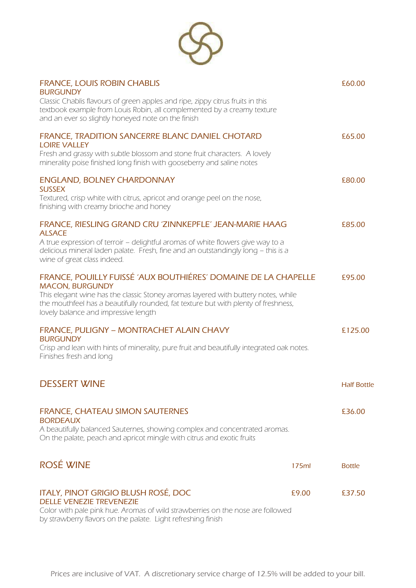

| <b>FRANCE, LOUIS ROBIN CHABLIS</b><br><b>BURGUNDY</b>                                                                                                                                                                                                                                                       |       | £60.00             |
|-------------------------------------------------------------------------------------------------------------------------------------------------------------------------------------------------------------------------------------------------------------------------------------------------------------|-------|--------------------|
| Classic Chablis flavours of green apples and ripe, zippy citrus fruits in this<br>textbook example from Louis Robin, all complemented by a creamy texture<br>and an ever so slightly honeyed note on the finish                                                                                             |       |                    |
| FRANCE, TRADITION SANCERRE BLANC DANIEL CHOTARD<br><b>LOIRE VALLEY</b>                                                                                                                                                                                                                                      |       | £65.00             |
| Fresh and grassy with subtle blossom and stone fruit characters. A lovely<br>minerality poise finished long finish with gooseberry and saline notes                                                                                                                                                         |       |                    |
| <b>ENGLAND, BOLNEY CHARDONNAY</b><br><b>SUSSEX</b>                                                                                                                                                                                                                                                          |       | £80.00             |
| Textured, crisp white with citrus, apricot and orange peel on the nose,<br>finishing with creamy brioche and honey                                                                                                                                                                                          |       |                    |
| FRANCE, RIESLING GRAND CRU 'ZINNKEPFLE' JEAN-MARIE HAAG<br><b>ALSACE</b>                                                                                                                                                                                                                                    |       | £85.00             |
| A true expression of terroir - delightful aromas of white flowers give way to a<br>delicious mineral laden palate. Fresh, fine and an outstandingly long - this is a<br>wine of great class indeed.                                                                                                         |       |                    |
| FRANCE, POUILLY FUISSÉ 'AUX BOUTHIÉRES' DOMAINE DE LA CHAPELLE<br><b>MACON, BURGUNDY</b><br>This elegant wine has the classic Stoney aromas layered with buttery notes, while<br>the mouthfeel has a beautifully rounded, fat texture but with plenty of freshness,<br>lovely balance and impressive length |       | £95.00             |
| FRANCE, PULIGNY - MONTRACHET ALAIN CHAVY<br><b>BURGUNDY</b>                                                                                                                                                                                                                                                 |       | £125.00            |
| Crisp and lean with hints of minerality, pure fruit and beautifully integrated oak notes.<br>Finishes fresh and long                                                                                                                                                                                        |       |                    |
| <b>DESSERT WINE</b>                                                                                                                                                                                                                                                                                         |       | <b>Half Bottle</b> |
| <b>FRANCE, CHATEAU SIMON SAUTERNES</b><br><b>BORDEAUX</b>                                                                                                                                                                                                                                                   |       | £36.00             |
| A beautifully balanced Sauternes, showing complex and concentrated aromas.<br>On the palate, peach and apricot mingle with citrus and exotic fruits                                                                                                                                                         |       |                    |
| ROSÉ WINE                                                                                                                                                                                                                                                                                                   | 175ml | <b>Bottle</b>      |
| ITALY, PINOT GRIGIO BLUSH ROSÉ, DOC<br><b>DELLE VENEZIE TREVENEZIE</b>                                                                                                                                                                                                                                      | £9.00 | £37.50             |
| Color with pale pink hue. Aromas of wild strawberries on the nose are followed                                                                                                                                                                                                                              |       |                    |

by strawberry flavors on the palate. Light refreshing finish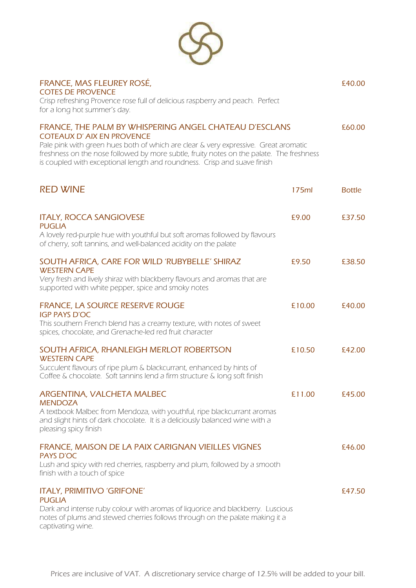

| FRANCE, MAS FLEUREY ROSÉ,<br><b>COTES DE PROVENCE</b><br>Crisp refreshing Provence rose full of delicious raspberry and peach. Perfect                                                                                                                                                                                                                     |        | £40.00        |
|------------------------------------------------------------------------------------------------------------------------------------------------------------------------------------------------------------------------------------------------------------------------------------------------------------------------------------------------------------|--------|---------------|
| for a long hot summer's day.                                                                                                                                                                                                                                                                                                                               |        |               |
| FRANCE, THE PALM BY WHISPERING ANGEL CHATEAU D'ESCLANS<br><b>COTEAUX D' AIX EN PROVENCE</b><br>Pale pink with green hues both of which are clear & very expressive. Great aromatic<br>freshness on the nose followed by more subtle, fruity notes on the palate. The freshness<br>is coupled with exceptional length and roundness. Crisp and suave finish |        | £60.00        |
| <b>RED WINE</b>                                                                                                                                                                                                                                                                                                                                            | 175ml  | <b>Bottle</b> |
| <b>ITALY, ROCCA SANGIOVESE</b><br><b>PUGLIA</b>                                                                                                                                                                                                                                                                                                            | £9.00  | £37.50        |
| A lovely red-purple hue with youthful but soft aromas followed by flavours<br>of cherry, soft tannins, and well-balanced acidity on the palate                                                                                                                                                                                                             |        |               |
| SOUTH AFRICA, CARE FOR WILD 'RUBYBELLE' SHIRAZ<br><b>WESTERN CAPE</b><br>Very fresh and lively shiraz with blackberry flavours and aromas that are<br>supported with white pepper, spice and smoky notes                                                                                                                                                   | £9.50  | £38.50        |
| <b>FRANCE, LA SOURCE RESERVE ROUGE</b><br><b>IGP PAYS D'OC</b><br>This southern French blend has a creamy texture, with notes of sweet<br>spices, chocolate, and Grenache-led red fruit character                                                                                                                                                          | £10.00 | £40.00        |
| SOUTH AFRICA, RHANLEIGH MERLOT ROBERTSON<br><b>WESTERN CAPE</b><br>Succulent flavours of ripe plum & blackcurrant, enhanced by hints of<br>Coffee & chocolate. Soft tannins lend a firm structure & long soft finish                                                                                                                                       | £10.50 | £42.00        |
| ARGENTINA, VALCHETA MALBEC<br><b>MENDOZA</b><br>A textbook Malbec from Mendoza, with youthful, ripe blackcurrant aromas<br>and slight hints of dark chocolate. It is a deliciously balanced wine with a<br>pleasing spicy finish                                                                                                                           | £11.00 | £45.00        |
| FRANCE, MAISON DE LA PAIX CARIGNAN VIEILLES VIGNES<br><b>PAYS D'OC</b><br>Lush and spicy with red cherries, raspberry and plum, followed by a smooth<br>finish with a touch of spice                                                                                                                                                                       |        | £46.00        |
| <b>ITALY, PRIMITIVO 'GRIFONE'</b><br><b>PUGLIA</b><br>Dark and intense ruby colour with aromas of liquorice and blackberry. Luscious<br>notes of plums and stewed cherries follows through on the palate making it a<br>captivating wine.                                                                                                                  |        | £47.50        |